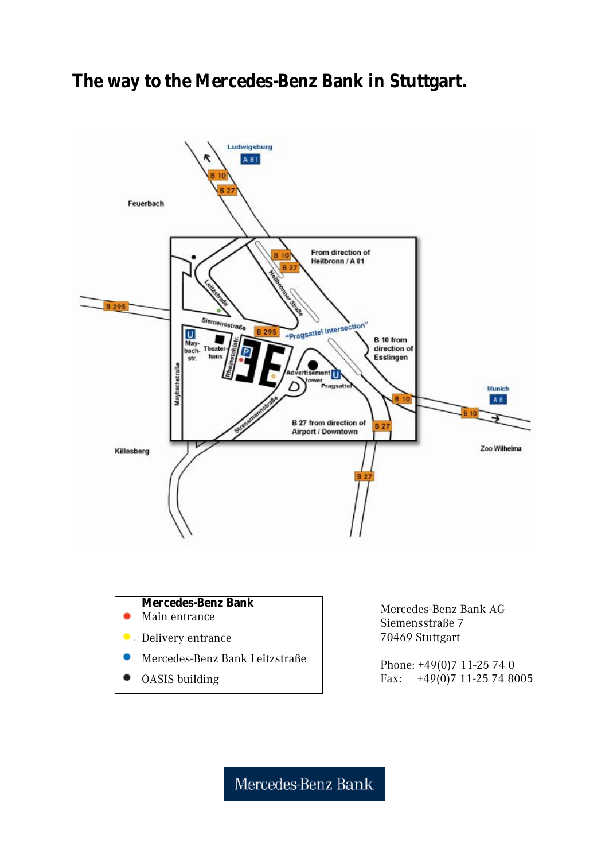#### **The way to the Mercedes-Benz Bank in Stuttgart.**



- Main entrance
- **Delivery entrance**
- Mercedes-Benz Bank Leitzstraße ٠
- ٠ OASIS building

Mercedes-Benz Bank AG Siemensstraße 7 70469 Stuttgart

Phone: +49(0)7 11-25 74 0 Fax: +49(0)7 11-25 74 8005

Mercedes-Benz Bank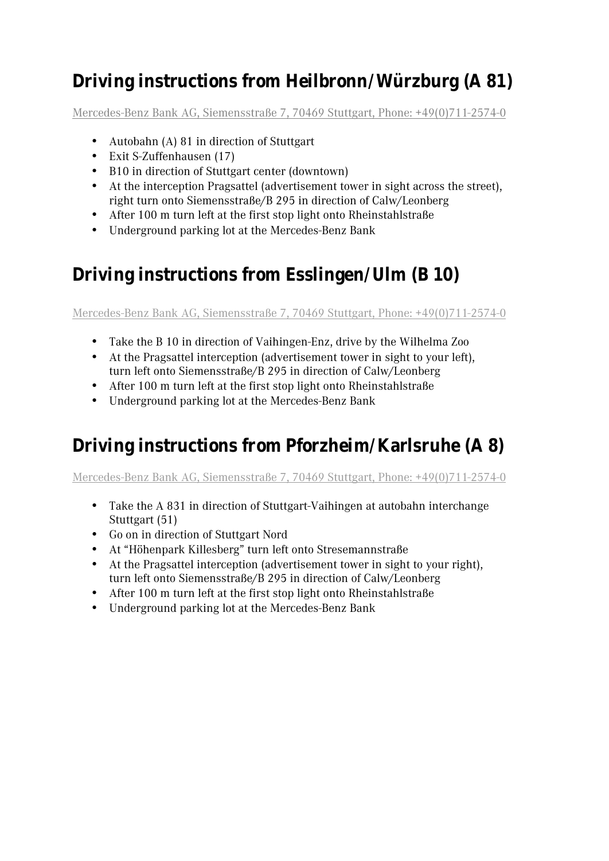# **Driving instructions from Heilbronn/Würzburg (A 81)**

Mercedes-Benz Bank AG, Siemensstraße 7, 70469 Stuttgart, Phone: +49(0)711-2574-0

- Autobahn (A) 81 in direction of Stuttgart
- Exit S-Zuffenhausen (17)
- B10 in direction of Stuttgart center (downtown)
- At the interception Pragsattel (advertisement tower in sight across the street), right turn onto Siemensstraße/B 295 in direction of Calw/Leonberg
- After 100 m turn left at the first stop light onto Rheinstahlstraße
- Underground parking lot at the Mercedes-Benz Bank

## **Driving instructions from Esslingen/Ulm (B 10)**

Mercedes-Benz Bank AG, Siemensstraße 7, 70469 Stuttgart, Phone: +49(0)711-2574-0

- Take the B 10 in direction of Vaihingen-Enz, drive by the Wilhelma Zoo
- At the Pragsattel interception (advertisement tower in sight to your left), turn left onto Siemensstraße/B 295 in direction of Calw/Leonberg
- After 100 m turn left at the first stop light onto Rheinstahlstraße
- Underground parking lot at the Mercedes-Benz Bank

## **Driving instructions from Pforzheim/Karlsruhe (A 8)**

Mercedes-Benz Bank AG, Siemensstraße 7, 70469 Stuttgart, Phone: +49(0)711-2574-0

- Take the A 831 in direction of Stuttgart-Vaihingen at autobahn interchange Stuttgart (51)
- Go on in direction of Stuttgart Nord
- At "Höhenpark Killesberg" turn left onto Stresemannstraße
- At the Pragsattel interception (advertisement tower in sight to your right), turn left onto Siemensstraße/B 295 in direction of Calw/Leonberg
- After 100 m turn left at the first stop light onto Rheinstahlstraße
- Underground parking lot at the Mercedes-Benz Bank